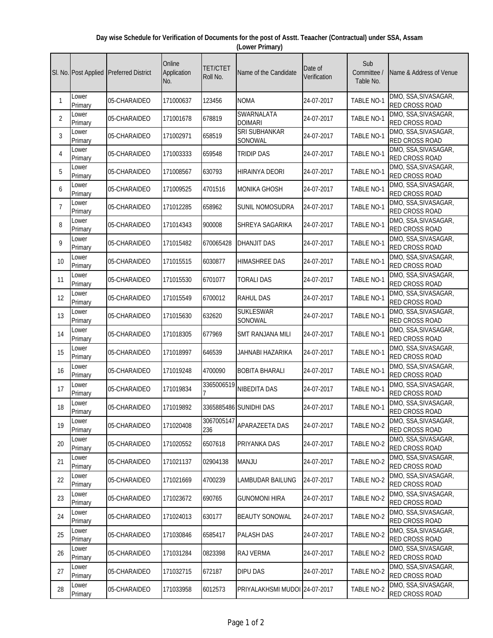## **Day wise Schedule for Verification of Documents for the post of Asstt. Teaacher (Contractual) under SSA, Assam (Lower Primary)**

|                |                  | SI. No. Post Applied Preferred District | Online<br>Application<br>No. | <b>TET/CTET</b><br>Roll No. | Name of the Candidate         | Date of<br>Verification | Sub<br>Committee /<br>Table No. | Name & Address of Venue                       |
|----------------|------------------|-----------------------------------------|------------------------------|-----------------------------|-------------------------------|-------------------------|---------------------------------|-----------------------------------------------|
| 1              | Lower<br>Primary | 05-CHARAIDEO                            | 171000637                    | 123456                      | <b>NOMA</b>                   | 24-07-2017              | <b>TABLE NO-1</b>               | DMO, SSA, SIVASAGAR,<br>RED CROSS ROAD        |
| $\overline{2}$ | Lower<br>Primary | 05-CHARAIDEO                            | 171001678                    | 678819                      | SWARNALATA<br><b>DOIMARI</b>  | 24-07-2017              | <b>TABLE NO-1</b>               | DMO, SSA, SIVASAGAR,<br>RED CROSS ROAD        |
| 3              | Lower<br>Primary | 05-CHARAIDEO                            | 171002971                    | 658519                      | SRI SUBHANKAR<br>SONOWAL      | 24-07-2017              | TABLE NO-1                      | DMO, SSA, SIVASAGAR,<br>RED CROSS ROAD        |
| 4              | Lower<br>Primary | 05-CHARAIDEO                            | 171003333                    | 659548                      | <b>TRIDIP DAS</b>             | 24-07-2017              | TABLE NO-1                      | DMO, SSA, SIVASAGAR,<br>RED CROSS ROAD        |
| 5              | Lower<br>Primary | 05-CHARAIDEO                            | 171008567                    | 630793                      | <b>HIRAINYA DEORI</b>         | 24-07-2017              | <b>TABLE NO-1</b>               | DMO, SSA, SIVASAGAR,<br><b>RED CROSS ROAD</b> |
| 6              | Lower<br>Primary | 05-CHARAIDEO                            | 171009525                    | 4701516                     | <b>MONIKA GHOSH</b>           | 24-07-2017              | TABLE NO-1                      | DMO, SSA, SIVASAGAR,<br>RED CROSS ROAD        |
| $\overline{7}$ | Lower<br>Primary | 05-CHARAIDEO                            | 171012285                    | 658962                      | <b>SUNIL NOMOSUDRA</b>        | 24-07-2017              | <b>TABLE NO-1</b>               | DMO, SSA, SIVASAGAR,<br>RED CROSS ROAD        |
| 8              | Lower<br>Primary | 05-CHARAIDEO                            | 171014343                    | 900008                      | SHREYA SAGARIKA               | 24-07-2017              | <b>TABLE NO-1</b>               | DMO, SSA, SIVASAGAR,<br>RED CROSS ROAD        |
| 9              | Lower<br>Primary | 05-CHARAIDEO                            | 171015482                    | 670065428                   | <b>DHANJIT DAS</b>            | 24-07-2017              | <b>TABLE NO-1</b>               | DMO, SSA, SIVASAGAR,<br><b>RED CROSS ROAD</b> |
| 10             | Lower<br>Primary | 05-CHARAIDEO                            | 171015515                    | 6030877                     | <b>HIMASHREE DAS</b>          | 24-07-2017              | TABLE NO-1                      | DMO, SSA, SIVASAGAR,<br>RED CROSS ROAD        |
| 11             | Lower<br>Primary | 05-CHARAIDEO                            | 171015530                    | 6701077                     | <b>TORALI DAS</b>             | 24-07-2017              | TABLE NO-1                      | DMO, SSA, SIVASAGAR,<br>RED CROSS ROAD        |
| 12             | Lower<br>Primary | 05-CHARAIDEO                            | 171015549                    | 6700012                     | <b>RAHUL DAS</b>              | 24-07-2017              | <b>TABLE NO-1</b>               | DMO, SSA, SIVASAGAR,<br>RED CROSS ROAD        |
| 13             | Lower<br>Primary | 05-CHARAIDEO                            | 171015630                    | 632620                      | <b>SUKLESWAR</b><br>SONOWAL   | 24-07-2017              | <b>TABLE NO-1</b>               | DMO, SSA, SIVASAGAR,<br><b>RED CROSS ROAD</b> |
| 14             | Lower<br>Primary | 05-CHARAIDEO                            | 171018305                    | 677969                      | <b>SMT RANJANA MILI</b>       | 24-07-2017              | <b>TABLE NO-1</b>               | DMO, SSA, SIVASAGAR,<br>RED CROSS ROAD        |
| 15             | Lower<br>Primary | 05-CHARAIDEO                            | 171018997                    | 646539                      | JAHNABI HAZARIKA              | 24-07-2017              | TABLE NO-1                      | DMO, SSA, SIVASAGAR,<br>RED CROSS ROAD        |
| 16             | Lower<br>Primary | 05-CHARAIDEO                            | 171019248                    | 4700090                     | <b>BOBITA BHARALI</b>         | 24-07-2017              | <b>TABLE NO-1</b>               | DMO, SSA, SIVASAGAR,<br>RED CROSS ROAD        |
| 17             | Lower<br>Primary | 05-CHARAIDEO                            | 171019834                    | 3365006519                  | <b>NIBEDITA DAS</b>           | 24-07-2017              | <b>TABLE NO-1</b>               | DMO, SSA, SIVASAGAR,<br><b>RED CROSS ROAD</b> |
| 18             | Lower<br>Primary | 05-CHARAIDEO                            | 171019892                    |                             | 3365885486 SUNIDHI DAS        | 24-07-2017              | TABLE NO-1                      | DMO, SSA, SIVASAGAR,<br>RED CROSS ROAD        |
| 19             | Lower<br>Primary | 05-CHARAIDEO                            | 171020408                    | 3067005147<br>236           | APARAZEETA DAS                | 24-07-2017              | TABLE NO-2                      | DMO, SSA, SIVASAGAR,<br>RED CROSS ROAD        |
| 20             | Lower<br>Primary | 05-CHARAIDEO                            | 171020552                    | 6507618                     | PRIYANKA DAS                  | 24-07-2017              | <b>TABLE NO-2</b>               | DMO, SSA, SIVASAGAR,<br>RED CROSS ROAD        |
| 21             | Lower<br>Primary | 05-CHARAIDEO                            | 171021137                    | 02904138                    | <b>MANJU</b>                  | 24-07-2017              | TABLE NO-2                      | DMO, SSA, SIVASAGAR,<br>RED CROSS ROAD        |
| 22             | Lower<br>Primary | 05-CHARAIDEO                            | 171021669                    | 4700239                     | <b>LAMBUDAR BAILUNG</b>       | 24-07-2017              | TABLE NO-2                      | DMO, SSA, SIVASAGAR,<br>RED CROSS ROAD        |
| 23             | Lower<br>Primary | 05-CHARAIDEO                            | 171023672                    | 690765                      | <b>GUNOMONI HIRA</b>          | 24-07-2017              | TABLE NO-2                      | DMO, SSA, SIVASAGAR,<br>RED CROSS ROAD        |
| 24             | Lower<br>Primary | 05-CHARAIDEO                            | 171024013                    | 630177                      | <b>BEAUTY SONOWAL</b>         | 24-07-2017              | TABLE NO-2                      | DMO, SSA, SIVASAGAR,<br>RED CROSS ROAD        |
| 25             | Lower<br>Primary | 05-CHARAIDEO                            | 171030846                    | 6585417                     | <b>PALASH DAS</b>             | 24-07-2017              | TABLE NO-2                      | DMO, SSA, SIVASAGAR,<br>RED CROSS ROAD        |
| 26             | Lower<br>Primary | 05-CHARAIDEO                            | 171031284                    | 0823398                     | <b>RAJ VERMA</b>              | 24-07-2017              | TABLE NO-2                      | DMO, SSA, SIVASAGAR,<br>RED CROSS ROAD        |
| 27             | Lower<br>Primary | 05-CHARAIDEO                            | 171032715                    | 672187                      | <b>DIPU DAS</b>               | 24-07-2017              | TABLE NO-2                      | DMO, SSA, SIVASAGAR,<br>RED CROSS ROAD        |
| 28             | Lower<br>Primary | 05-CHARAIDEO                            | 171033958                    | 6012573                     | PRIYALAKHSMI MUDOI 24-07-2017 |                         | TABLE NO-2                      | DMO, SSA, SIVASAGAR,<br>RED CROSS ROAD        |